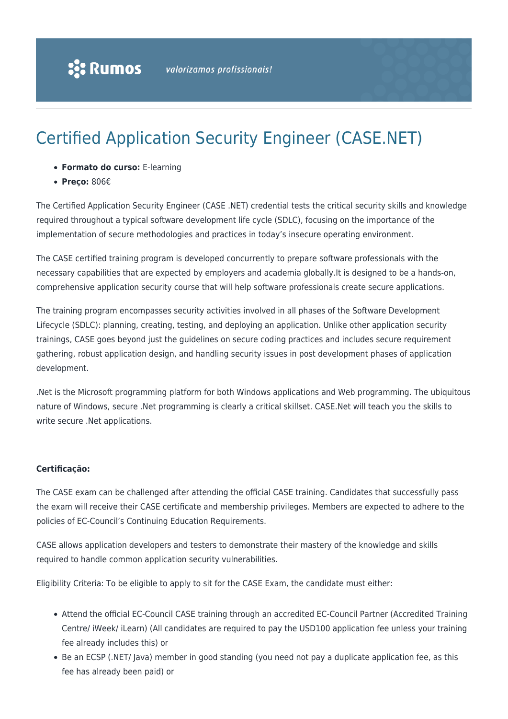# Certified Application Security Engineer (CASE.NET)

- **Formato do curso:** E-learning
- **Preço:** 806€

The Certified Application Security Engineer (CASE .NET) credential tests the critical security skills and knowledge required throughout a typical software development life cycle (SDLC), focusing on the importance of the implementation of secure methodologies and practices in today's insecure operating environment.

The CASE certified training program is developed concurrently to prepare software professionals with the necessary capabilities that are expected by employers and academia globally.It is designed to be a hands-on, comprehensive application security course that will help software professionals create secure applications.

The training program encompasses security activities involved in all phases of the Software Development Lifecycle (SDLC): planning, creating, testing, and deploying an application. Unlike other application security trainings, CASE goes beyond just the guidelines on secure coding practices and includes secure requirement gathering, robust application design, and handling security issues in post development phases of application development.

.Net is the Microsoft programming platform for both Windows applications and Web programming. The ubiquitous nature of Windows, secure .Net programming is clearly a critical skillset. CASE.Net will teach you the skills to write secure .Net applications.

#### **Certificação:**

The CASE exam can be challenged after attending the official CASE training. Candidates that successfully pass the exam will receive their CASE certificate and membership privileges. Members are expected to adhere to the policies of EC-Council's Continuing Education Requirements.

CASE allows application developers and testers to demonstrate their mastery of the knowledge and skills required to handle common application security vulnerabilities.

Eligibility Criteria: To be eligible to apply to sit for the CASE Exam, the candidate must either:

- Attend the official EC-Council CASE training through an accredited EC-Council Partner (Accredited Training Centre/ iWeek/ iLearn) (All candidates are required to pay the USD100 application fee unless your training fee already includes this) or
- Be an ECSP (.NET/ Java) member in good standing (you need not pay a duplicate application fee, as this fee has already been paid) or